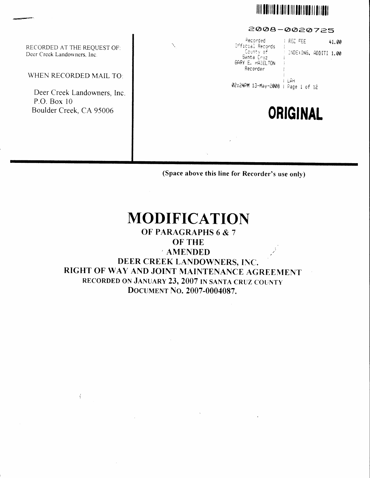# **IIII DOI II O I DI DI DOI II DOI II DI DI**

2008-0020725

| RECORDED AT THE REQUEST OF:<br>Deer Creek Landowners, Inc. | Recorded<br><b>FRED FEE</b><br>41.00<br>N,<br>Official Records<br>County of<br>INDEXING, ADDITI 1.00<br>Santa Cruz<br>GARY E. HAZELTON<br>Recorder |
|------------------------------------------------------------|----------------------------------------------------------------------------------------------------------------------------------------------------|
| WHEN RECORDED MAIL TO:                                     | LAH<br>02:24PM 13-May-2008                                                                                                                         |
| Deer Creek Landowners, Inc.                                | Page 1 of 12                                                                                                                                       |
| P.O. Box 10<br>Boulder Creek, CA 95006                     | <b>ORIGINAL</b>                                                                                                                                    |
|                                                            |                                                                                                                                                    |
|                                                            |                                                                                                                                                    |

(Space above this line for Recorder's use only)

# **MODIFICATION**

# OF PARAGRAPHS 6 & 7

**OF THE** 

**AMENDED** DEER CREEK LANDOWNERS, INC. RIGHT OF WAY AND JOINT MAINTENANCE AGREEMENT RECORDED ON JANUARY 23, 2007 IN SANTA CRUZ COUNTY DOCUMENT NO. 2007-0004087.

 $\langle$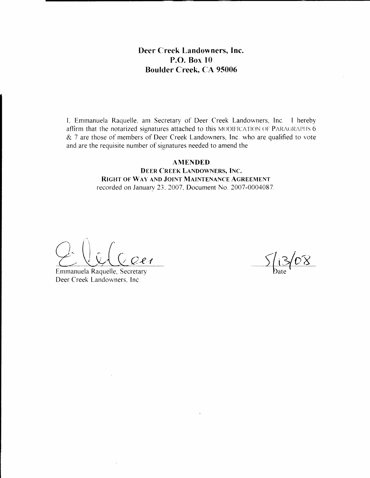## Deer Creek Landowners, Inc. P.O. Box 10 **Boulder Creek, CA 95006**

I, Emmanuela Raquelle, am Secretary of Deer Creek Landowners, Inc. 1 hereby affirm that the notarized signatures attached to this MODIFICATION OF PARAGRAPHS 6 & 7 are those of members of Deer Creek Landowners, Inc. who are qualified to vote and are the requisite number of signatures needed to amend the

### **AMENDED**

**DEER CREEK LANDOWNERS, INC.** RIGHT OF WAY AND JOINT MAINTENANCE AGREEMENT recorded on January 23, 2007, Document No. 2007-0004087.

 $2e<sub>1</sub>$ 

Emmanuela Raquelle, Secretary Deer Creek Landowners, Inc.

13/08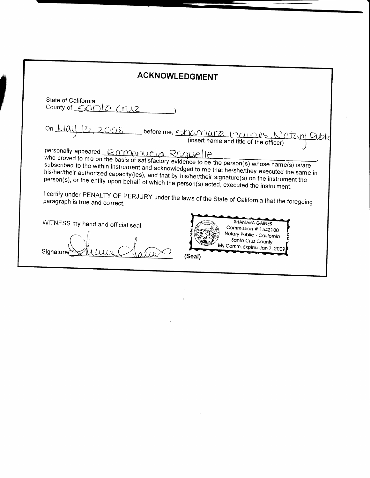| ACKNOWLEDGMENT                                                                                                                                                                                                                                                                                                                                                                                                                                     |  |
|----------------------------------------------------------------------------------------------------------------------------------------------------------------------------------------------------------------------------------------------------------------------------------------------------------------------------------------------------------------------------------------------------------------------------------------------------|--|
| State of California<br>County of $G(N)$<br>rn12                                                                                                                                                                                                                                                                                                                                                                                                    |  |
| On $\lambda$<br>before me, <u>EXAMMATA</u> (TAINUS N)<br>Otziril                                                                                                                                                                                                                                                                                                                                                                                   |  |
| personally appeared Emmanuela Radue<br>who proved to me on the basis of satisfactory evidence to be the person(s) whose name(s) is/are<br>subscribed to the within instrument and acknowledged to me that he/she/they executed the same in<br>his/her/their authorized capacity (ies), and that by his/her/their signature(s) on the instrument the<br>person(s), or the entity upon behalf of which the person(s) acted, executed the instrument. |  |
| I certify under PENALTY OF PERJURY under the laws of the State of California that the foregoing<br>paragraph is true and correct.                                                                                                                                                                                                                                                                                                                  |  |
| <b>SHAMARA GAINES</b><br>WITNESS my hand and official seal.<br>Commission # 1542100<br>Notary Public - California<br>Santa Cruz County<br>My Comm. Expires Jan 7, 2009<br>Signature<br>(Seal)                                                                                                                                                                                                                                                      |  |

 $\label{eq:2.1} \frac{1}{2} \sum_{i=1}^n \frac{1}{2} \sum_{j=1}^n \frac{1}{2} \sum_{j=1}^n \frac{1}{2} \sum_{j=1}^n \frac{1}{2} \sum_{j=1}^n \frac{1}{2} \sum_{j=1}^n \frac{1}{2} \sum_{j=1}^n \frac{1}{2} \sum_{j=1}^n \frac{1}{2} \sum_{j=1}^n \frac{1}{2} \sum_{j=1}^n \frac{1}{2} \sum_{j=1}^n \frac{1}{2} \sum_{j=1}^n \frac{1}{2} \sum_{j=1}^n \frac{$ 

 $\sim 10^{-1}$ 

 $\label{eq:2.1} \frac{1}{\sqrt{2\pi}}\int_{\mathbb{R}^3}\frac{1}{\sqrt{2\pi}}\left(\frac{1}{\sqrt{2\pi}}\right)^2\frac{1}{\sqrt{2\pi}}\int_{\mathbb{R}^3}\frac{1}{\sqrt{2\pi}}\frac{1}{\sqrt{2\pi}}\frac{1}{\sqrt{2\pi}}\frac{1}{\sqrt{2\pi}}\frac{1}{\sqrt{2\pi}}\frac{1}{\sqrt{2\pi}}\frac{1}{\sqrt{2\pi}}\frac{1}{\sqrt{2\pi}}\frac{1}{\sqrt{2\pi}}\frac{1}{\sqrt{2\pi}}\frac{1}{\sqrt{2\pi}}\frac{$